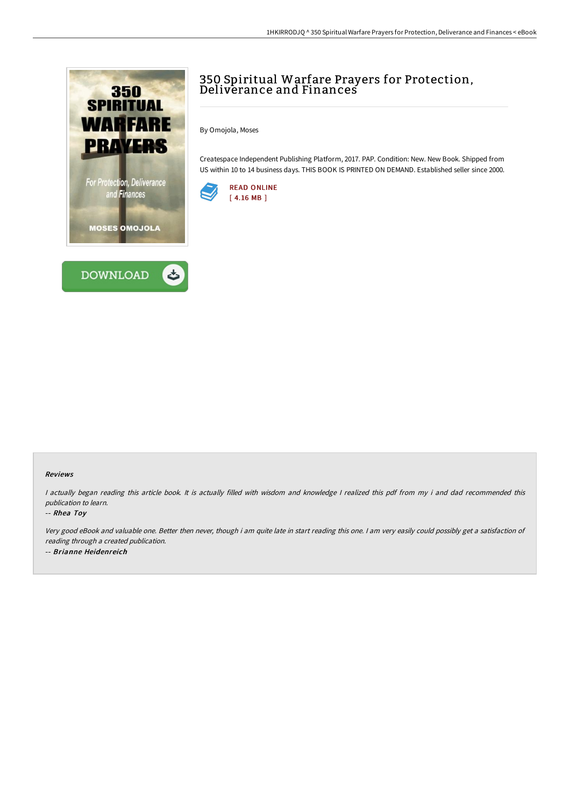



## 350 Spiritual Warfare Prayers for Protection, Deliverance and Finances

By Omojola, Moses

Createspace Independent Publishing Platform, 2017. PAP. Condition: New. New Book. Shipped from US within 10 to 14 business days. THIS BOOK IS PRINTED ON DEMAND. Established seller since 2000.



## Reviews

<sup>I</sup> actually began reading this article book. It is actually filled with wisdom and knowledge <sup>I</sup> realized this pdf from my i and dad recommended this publication to learn.

## -- Rhea Toy

Very good eBook and valuable one. Better then never, though i am quite late in start reading this one. <sup>I</sup> am very easily could possibly get <sup>a</sup> satisfaction of reading through <sup>a</sup> created publication. -- Brianne Heidenreich